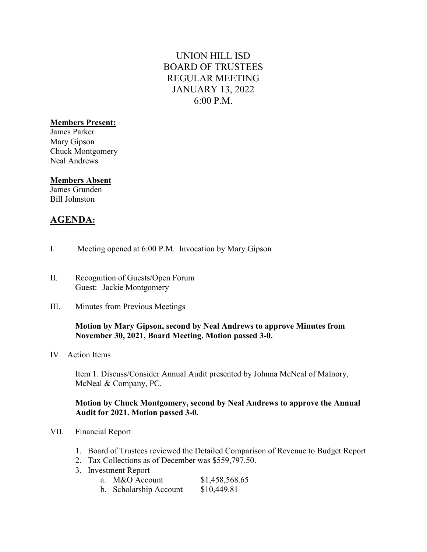# UNION HILL ISD BOARD OF TRUSTEES REGULAR MEETING JANUARY 13, 2022 6:00 P.M.

### Members Present:

James Parker Mary Gipson Chuck Montgomery Neal Andrews

### Members Absent

James Grunden Bill Johnston

## AGENDA:

- I. Meeting opened at 6:00 P.M. Invocation by Mary Gipson
- II. Recognition of Guests/Open Forum Guest: Jackie Montgomery
- III. Minutes from Previous Meetings

### Motion by Mary Gipson, second by Neal Andrews to approve Minutes from November 30, 2021, Board Meeting. Motion passed 3-0.

IV. Action Items

Item 1. Discuss/Consider Annual Audit presented by Johnna McNeal of Malnory, McNeal & Company, PC.

### Motion by Chuck Montgomery, second by Neal Andrews to approve the Annual Audit for 2021. Motion passed 3-0.

- VII. Financial Report
	- 1. Board of Trustees reviewed the Detailed Comparison of Revenue to Budget Report
	- 2. Tax Collections as of December was \$559,797.50.
	- 3. Investment Report

| a. M&O Account         | \$1,458,568.65 |
|------------------------|----------------|
| b. Scholarship Account | \$10,449.81    |